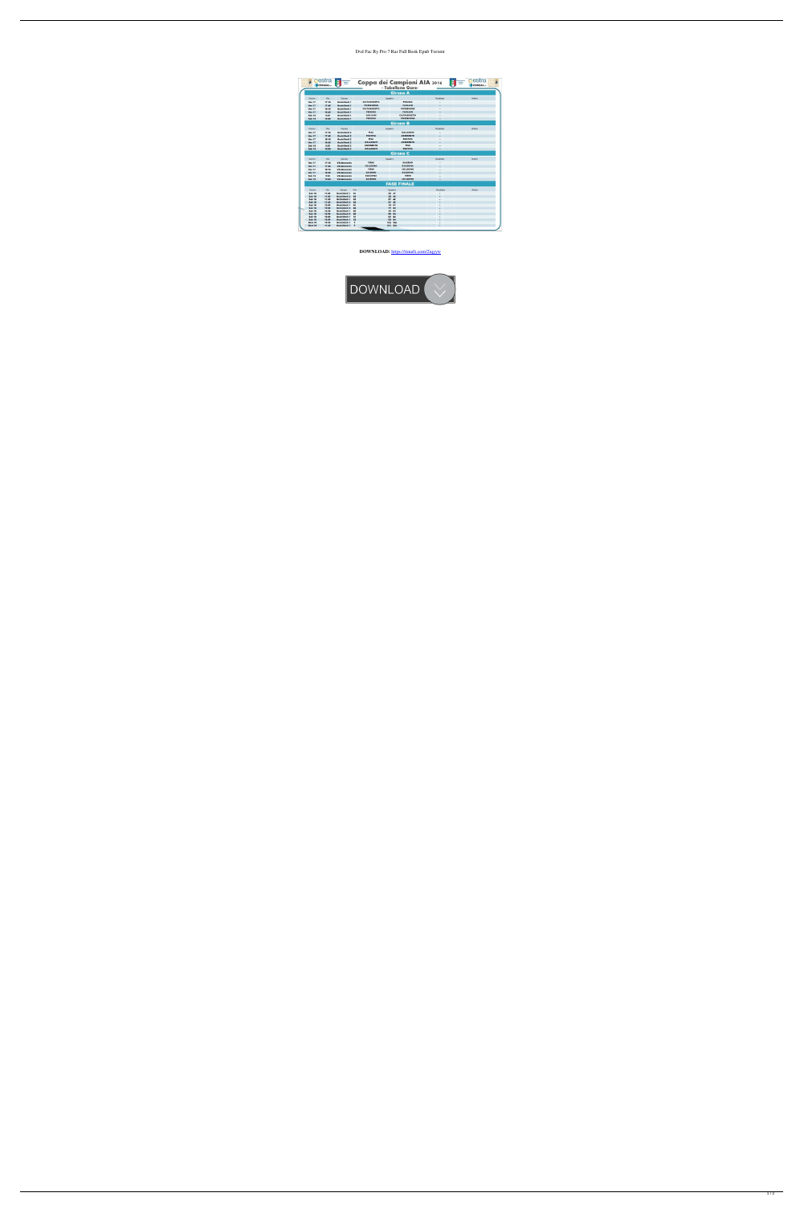## Dvd Fac Ry Pro 7 Rar Full Book Epub Torrent

| Krowns at Bassin        | <b>pestra</b><br>COINGAS | $\overline{\mathbf{g}}$<br><b>Issociazione</b><br><b>Relieva</b><br><i>Arbitri</i> |                                  | Coppa dei Campioni AIA 2016<br>- Tabellone Gare- | e                        | cestra<br>Associazione<br>Ttaliana<br>Arbitri<br>COINGAS |
|-------------------------|--------------------------|------------------------------------------------------------------------------------|----------------------------------|--------------------------------------------------|--------------------------|----------------------------------------------------------|
|                         |                          |                                                                                    |                                  | <b>Girone A</b>                                  |                          |                                                          |
| Ciomo                   | Ore                      | Campo                                                                              | Squadre                          |                                                  | Risultato                | Arbitri                                                  |
| <b>Ven 17</b>           | 17:15                    | OcchiVerdi 1                                                                       | <b>CALTANIS SETTA</b>            | <b>PERUGIA</b>                                   |                          |                                                          |
| <b>Ven 17</b>           | 17:45                    | OcchiVerdi 1                                                                       | <b>PORDENONE</b>                 | <b>CAGLIARI</b>                                  | ٠                        |                                                          |
| <b>Ven 17</b>           | 18:15                    | OcchiVerdi 1                                                                       | <b>CALTANISSETTA</b>             | <b>PORDENONE</b>                                 |                          |                                                          |
| <b>Ven 17</b>           | 18:45                    | OcchiVerdi 1                                                                       | <b>PERUGIA</b>                   | CAGLIARI                                         | $\overline{\phantom{a}}$ |                                                          |
| Sab 18                  | 9:30                     | OcchiVerdi 1                                                                       | CAGLIARI                         | <b>CALTANIS SETTA</b>                            |                          |                                                          |
| <b>Sab 18</b>           | 10:00                    | OcchiVerdi 1                                                                       | <b>PERUGIA</b>                   | <b>PORDENONE</b>                                 |                          |                                                          |
|                         |                          |                                                                                    |                                  | <b>Girone B</b>                                  |                          |                                                          |
| Ciomo                   | Ore                      | Campo                                                                              |                                  | Squadre                                          | Risultato                | Arbitri                                                  |
| <b>Ven 17</b>           | 17:15                    | OcchiVerdi 2                                                                       | PISA                             | <b>GALLARATE</b>                                 |                          |                                                          |
| <b>Ven 17</b>           | 17:45                    | OcchiVerdi 2                                                                       | <b>PADOVA</b>                    | <b>AGRIGENTO</b>                                 |                          |                                                          |
| <b>Ven 17</b>           | 18:15                    | OcchiVerdi 2                                                                       | <b>PISA</b>                      | <b>PADOVA</b>                                    |                          |                                                          |
| <b>Ven 17</b>           | 18:45                    | OcchiVerdi 2                                                                       | <b>GALLARATE</b>                 | <b>AGRIGENTO</b>                                 |                          |                                                          |
| <b>Sab 18</b>           | 9:30                     | OcchiVerdi 2                                                                       | <b>AGRIGENTO</b>                 | <b>PISA</b>                                      |                          |                                                          |
| Sab 18                  | 10:00                    | OcchiVerdi 2                                                                       | <b>GALLARATE</b>                 | <b>PADOVA</b>                                    | ٠                        |                                                          |
|                         |                          |                                                                                    |                                  | <b>Girone C</b>                                  |                          |                                                          |
| Ciomo                   | Ore                      | Campo                                                                              | Squadre                          |                                                  | Risultato                | Arbitri                                                  |
| <b>Ven 17</b>           | 17:15                    | <b>Vill.Amaranto</b>                                                               | <b>TERNI</b>                     | <b>SALERNO</b>                                   |                          |                                                          |
| <b>Ven 17</b>           | 17:45                    | <b>Vill.Amaranto</b>                                                               | <b>COLLEGNO</b>                  | <b>BOLOGNA</b>                                   |                          |                                                          |
| <b>Ven 17</b>           | 18:15                    | <b>Vill.Amaranto</b>                                                               | <b>TERNI</b>                     | <b>COLLEGNO</b>                                  |                          |                                                          |
| <b>Ven 17</b>           | 18:45                    | <b>Vill.Amaranto</b>                                                               | <b>SALERNO</b>                   | <b>BOLOGNA</b>                                   |                          |                                                          |
| <b>Sab 18</b>           | 9:30                     | <b>Vill.Amaranto</b>                                                               | <b>BOLOGNA</b>                   | <b>TERNI</b>                                     |                          |                                                          |
| <b>Sab 18</b>           | 10:00                    | <b>Vill.Amaranto</b>                                                               | <b>SALERNO</b>                   | <b>COLLEGNO</b>                                  | ٠                        |                                                          |
|                         |                          |                                                                                    |                                  | <b>FASE FINALE</b>                               |                          |                                                          |
| Giorno                  | Ore                      | Campo                                                                              | Cara<br>Squadre                  |                                                  | <b>Risultato</b>         | Arbitri                                                  |
| <b>Sab 18</b>           | 11:00                    | OcchiVerdi 1                                                                       | O <sub>1</sub>                   | 3X 4Y                                            |                          |                                                          |
| <b>Sab 18</b>           | 11:00                    | OcchiVerdi 2                                                                       | O <sub>2</sub>                   | 2Z 4X                                            |                          |                                                          |
| <b>Sab 18</b>           | 11:30                    | OcchiVerdi 1                                                                       | O <sub>3</sub>                   | 2Y 4Z                                            | ٠                        |                                                          |
| Sab 18                  | 11:30                    | OcchiVerdi 2                                                                       | 04                               | 3Y 3Z                                            | ٠                        |                                                          |
| <b>Sab 18</b>           | 12:00                    | OcchiVerdi 1                                                                       | Q <sub>1</sub>                   | 1Z 01                                            | ٠<br>÷                   |                                                          |
| <b>Sab 18</b><br>Sab 18 | 12:00<br>14:30           | OcchiVerdi 2<br>OcchiVerdi 1                                                       | Q <sub>2</sub><br>Q <sub>3</sub> | 1Y 02<br>1X 03                                   |                          |                                                          |
| <b>Sab 18</b>           | 14:30                    | OcchiVerdi 2                                                                       | Q <sub>4</sub>                   | 2X 04                                            |                          |                                                          |
| Sab 18                  | 15:00                    | OcchiVerdi 1                                                                       | 51                               | Q1 Q2                                            | ٠<br>$\blacksquare$      |                                                          |
| <b>Sab 18</b>           | 16:00                    | OcchiVerdi 1                                                                       | 52                               | Q3 Q4                                            | ٠                        |                                                          |
| <b>Dom 19</b>           | 10:30                    | OcchiVerdi 1                                                                       | F                                | <b>S1p S2p</b>                                   | ۰                        |                                                          |
| <b>Dom 19</b>           | 11:30                    | OcchiVerdi 1                                                                       | F                                | <b>S1v S2v</b>                                   | ٠                        |                                                          |

## **DOWNLOAD:** <https://tinurli.com/2iqyyw>